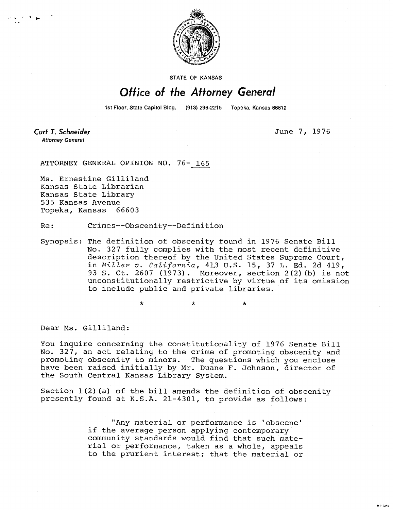

STATE OF KANSAS

## Office of the Attorney General

1st Floor, State Capitol Bldg. (913) 296-2215 Topeka, Kansas 66612

**Curt T. Schneider Attorney General** 

June 7, 1976

MI-1043

ATTORNEY GENERAL OPINION NO. 76- 165

Ms. Ernestine Gilliland Kansas State Librarian Kansas State Library 535 Kansas Avenue Topeka, Kansas 66603

Re: Crimes--Obscenity--Definition

Synopsis: The definition of obscenity found in 1976 Senate Bill No. 327 fully complies with the most recent definitive description thereof by the United States Supreme Court, in Miller v. California, 413 U.S. 15, 37 L. Ed. 2d 419, 93 S. Ct. 2607 (1973). Moreover, section 2(2)(b) is not unconstitutionally restrictive by virtue of its omission to include public and private libraries.

 $\star$   $\star$   $\star$ 

Dear Ms. Gilliland:

You inquire concerning the constitutionality of 1976 Senate Bill No. 327, an act relating to the crime of promoting obscenity and promoting obscenity to minors. The questions which you enclose have been raised initially by Mr. Duane F. Johnson, director of the South Central Kansas Library System.

Section  $1(2)$  (a) of the bill amends the definition of obscenity presently found at K.S.A. 21-4301, to provide as follows:

> "Any material or performance is 'obscene' if the average person applying contemporary community standards would find that such material or performance, taken as a whole, appeals to the prurient interest; that the material or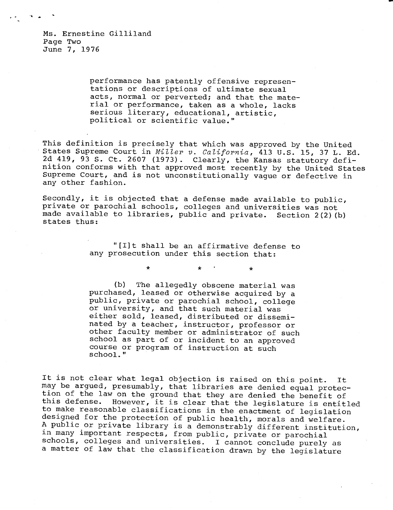Ms. Ernestine Gilliland Page Two June 7, 1976

> performance has patently offensive representations or descriptions of ultimate sexual acts, normal or perverted; and that the material or performance, taken as a whole, lacks serious literary, educational, artistic, political or scientific value."

This definition is precisely that which was approved by the United States Supreme Court in Miller v. California, 413 U.S. 15, 37 L. Ed. 2d 419, 93 S. Ct. 2607 (1973). Clearly, the Kansas statutory definition conforms with that approved most recently by the United States Supreme Court, and is not unconstitutionally vague or defective in any other fashion.

Secondly, it is objected that a defense made available to public, private or parochial schools, colleges and universities was not made available to libraries, public and private. Section 2(2)(b) states thus:

> "[I]t shall be an affirmative defense to any prosecution under this section that:

> > $\star$

 $\star$ 

(b) The allegedly obscene material was purchased, leased or otherwise acquired by a public, private or parochial school, college or university, and that such material was either sold, leased, distributed or disseminated by a teacher, instructor, professor or other faculty member or administrator of such school as part of or incident to an approved course or program of instruction at such school."

It is not clear what legal objection is raised on this point. It may be argued, presumably, that libraries are denied equal protection of the law on the ground that they are denied the benefit of this defense. However, it is clear that the legislature is entitled to make reasonable classifications in the enactment of legislation designed for the protection of public health, morals and welfare. A public or private library is a demonstrably different institution, in many important respects, from public, private or parochial schools, colleges and universities. I cannot conclude purely as a matter of law that the classification drawn by the legislature